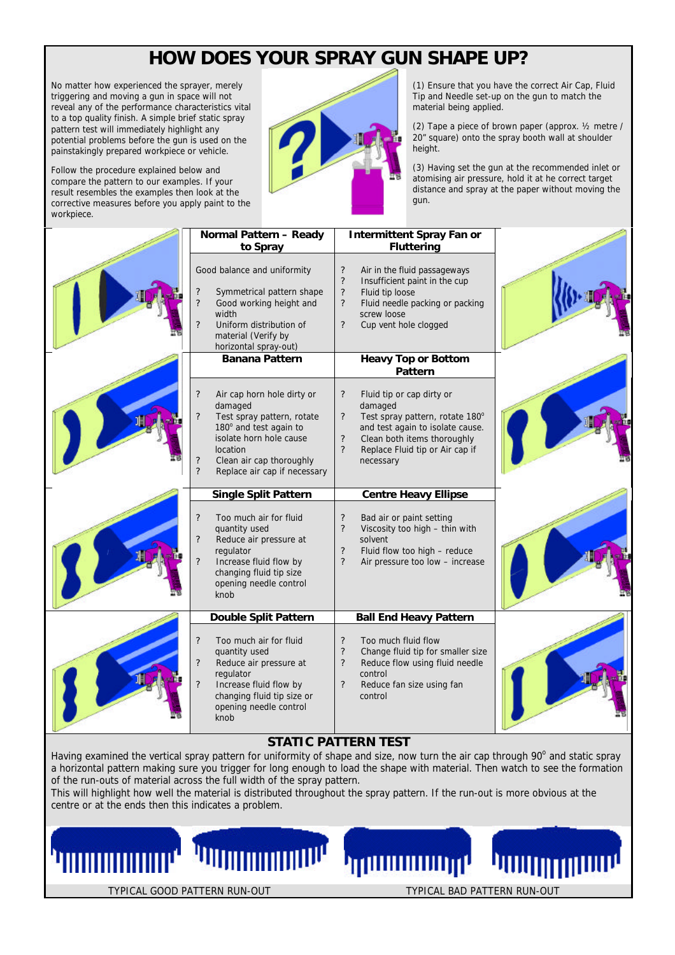# **HOW DOES YOUR SPRAY GUN SHAPE UP?**

No matter how experienced the sprayer, merely triggering and moving a gun in space will not reveal any of the performance characteristics vital to a top quality finish. A simple brief static spray pattern test will immediately highlight any potential problems before the gun is used on the painstakingly prepared workpiece or vehicle.

Follow the procedure explained below and compare the pattern to our examples. If your result resembles the examples then look at the corrective measures before you apply paint to the workpiece.



(1) Ensure that you have the correct Air Cap, Fluid Tip and Needle set-up on the gun to match the material being applied.

(2) Tape a piece of brown paper (approx. ½ metre / 20" square) onto the spray booth wall at shoulder height.

(3) Having set the gun at the recommended inlet or atomising air pressure, hold it at he correct target distance and spray at the paper without moving the gun.

| Normal Pattern - Ready<br>to Spray<br>Good balance and uniformity<br>Symmetrical pattern shape<br>Good working height and<br>$\overline{?}$<br>width<br>$\overline{\cdot}$<br>Uniform distribution of<br>material (Verify by<br>horizontal spray-out)<br><b>Banana Pattern</b> | <b>Intermittent Spray Fan or</b><br><b>Fluttering</b><br>$\cdot$<br>Air in the fluid passageways<br>$\boldsymbol{?}$<br>Insufficient paint in the cup<br>$\ddot{?}$<br>Fluid tip loose<br>$\overline{?}$<br>Fluid needle packing or packing<br>screw loose<br>$\ddot{?}$<br>Cup vent hole clogged<br><b>Heavy Top or Bottom</b> |  |
|--------------------------------------------------------------------------------------------------------------------------------------------------------------------------------------------------------------------------------------------------------------------------------|---------------------------------------------------------------------------------------------------------------------------------------------------------------------------------------------------------------------------------------------------------------------------------------------------------------------------------|--|
| $\overline{\cdot}$<br>Air cap horn hole dirty or<br>damaged<br>$\overline{?}$<br>Test spray pattern, rotate<br>180° and test again to<br>isolate horn hole cause<br><b>location</b><br>$\overline{?}$<br>Clean air cap thoroughly<br>$\gamma$<br>Replace air cap if necessary  | Pattern<br>Fluid tip or cap dirty or<br>$\ddot{?}$<br>damaged<br>$\ddot{?}$<br>Test spray pattern, rotate 180°<br>and test again to isolate cause.<br>$\boldsymbol{?}$<br>Clean both items thoroughly<br>$\gamma$<br>Replace Fluid tip or Air cap if<br>necessary                                                               |  |
| <b>Single Split Pattern</b><br>$\overline{?}$<br>Too much air for fluid<br>quantity used<br>$\gamma$<br>Reduce air pressure at<br>regulator<br>Increase fluid flow by<br>$\overline{?}$<br>changing fluid tip size<br>opening needle control<br>knob                           | <b>Centre Heavy Ellipse</b><br>$\overline{?}$<br>Bad air or paint setting<br>$\ddot{?}$<br>Viscosity too high - thin with<br>solvent<br>$\overline{?}$<br>Fluid flow too high - reduce<br>$\gamma$<br>Air pressure too low - increase                                                                                           |  |
| <b>Double Split Pattern</b><br>$\overline{?}$<br>Too much air for fluid<br>quantity used<br>Reduce air pressure at<br>$\overline{?}$<br>regulator<br>$\overline{?}$<br>Increase fluid flow by<br>changing fluid tip size or<br>opening needle control<br>knob                  | <b>Ball End Heavy Pattern</b><br>$\overline{\cdot}$<br>Too much fluid flow<br>$\boldsymbol{?}$<br>Change fluid tip for smaller size<br>$\overline{?}$<br>Reduce flow using fluid needle<br>control<br>$\overline{?}$<br>Reduce fan size using fan<br>control                                                                    |  |

## **STATIC PATTERN TEST**

Having examined the vertical spray pattern for uniformity of shape and size, now turn the air cap through 90° and static spray a horizontal pattern making sure you trigger for long enough to load the shape with material. Then watch to see the formation of the run-outs of material across the full width of the spray pattern.

This will highlight how well the material is distributed throughout the spray pattern. If the run-out is more obvious at the centre or at the ends then this indicates a problem.



TYPICAL GOOD PATTERN RUN-OUT TYPICAL BAD PATTERN RUN-OUT

**AN UNITED TO A**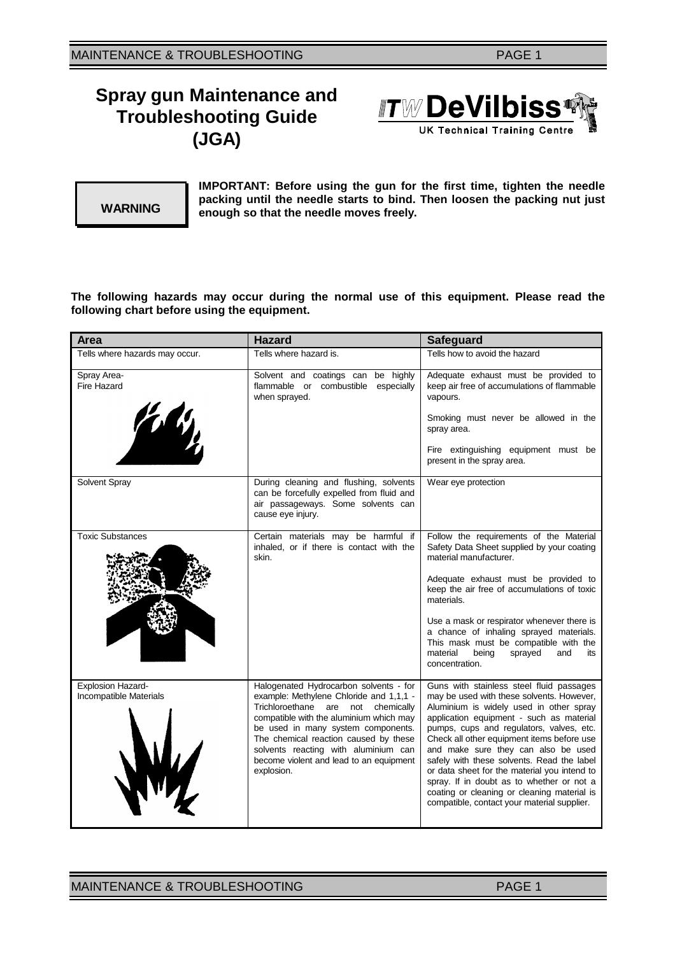# **Spray gun Maintenance and Troubleshooting Guide (JGA)**



**WARNING**

**IMPORTANT: Before using the gun for the first time, tighten the needle packing until the needle starts to bind. Then loosen the packing nut just enough so that the needle moves freely.**

**The following hazards may occur during the normal use of this equipment. Please read the following chart before using the equipment.**

| <b>Area</b>                                 | <b>Hazard</b>                                                                                                                                                                                                                                                                                                                                      | Safeguard                                                                                                                                                                                                                                                                                                                                                                                                                                                                                                                                              |
|---------------------------------------------|----------------------------------------------------------------------------------------------------------------------------------------------------------------------------------------------------------------------------------------------------------------------------------------------------------------------------------------------------|--------------------------------------------------------------------------------------------------------------------------------------------------------------------------------------------------------------------------------------------------------------------------------------------------------------------------------------------------------------------------------------------------------------------------------------------------------------------------------------------------------------------------------------------------------|
| Tells where hazards may occur.              | Tells where hazard is.                                                                                                                                                                                                                                                                                                                             | Tells how to avoid the hazard                                                                                                                                                                                                                                                                                                                                                                                                                                                                                                                          |
| Spray Area-<br><b>Fire Hazard</b>           | Solvent and coatings can be highly<br>flammable or combustible<br>especially<br>when sprayed.                                                                                                                                                                                                                                                      | Adequate exhaust must be provided to<br>keep air free of accumulations of flammable<br>vapours.<br>Smoking must never be allowed in the<br>spray area.<br>Fire extinguishing equipment must be<br>present in the spray area.                                                                                                                                                                                                                                                                                                                           |
| Solvent Spray                               | During cleaning and flushing, solvents<br>can be forcefully expelled from fluid and<br>air passageways. Some solvents can<br>cause eye injury.                                                                                                                                                                                                     | Wear eye protection                                                                                                                                                                                                                                                                                                                                                                                                                                                                                                                                    |
| <b>Toxic Substances</b>                     | Certain materials may be harmful if<br>inhaled, or if there is contact with the<br>skin.                                                                                                                                                                                                                                                           | Follow the requirements of the Material<br>Safety Data Sheet supplied by your coating<br>material manufacturer.<br>Adequate exhaust must be provided to<br>keep the air free of accumulations of toxic<br>materials.<br>Use a mask or respirator whenever there is<br>a chance of inhaling sprayed materials.<br>This mask must be compatible with the<br>material<br>being<br>sprayed<br>and<br>its<br>concentration.                                                                                                                                 |
| Explosion Hazard-<br>Incompatible Materials | Halogenated Hydrocarbon solvents - for<br>example: Methylene Chloride and 1,1,1 -<br>Trichloroethane are not chemically<br>compatible with the aluminium which may<br>be used in many system components.<br>The chemical reaction caused by these<br>solvents reacting with aluminium can<br>become violent and lead to an equipment<br>explosion. | Guns with stainless steel fluid passages<br>may be used with these solvents. However,<br>Aluminium is widely used in other spray<br>application equipment - such as material<br>pumps, cups and regulators, valves, etc.<br>Check all other equipment items before use<br>and make sure they can also be used<br>safely with these solvents. Read the label<br>or data sheet for the material you intend to<br>spray. If in doubt as to whether or not a<br>coating or cleaning or cleaning material is<br>compatible, contact your material supplier. |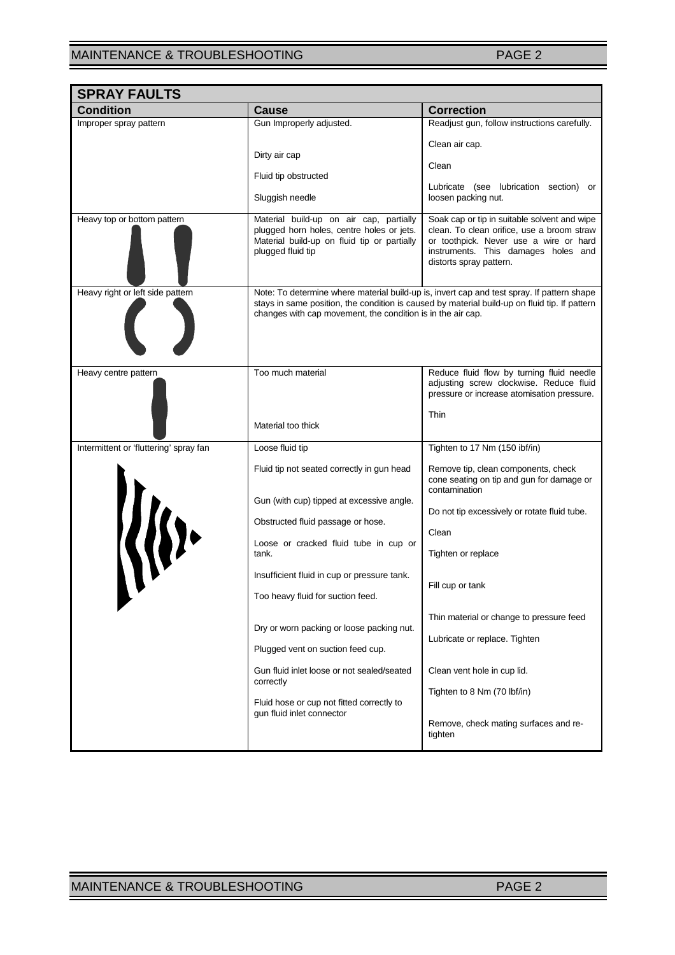| <b>SPRAY FAULTS</b>                    |                                                                                                                                                                                                                                                            |                                                                                                                                                                                                        |  |
|----------------------------------------|------------------------------------------------------------------------------------------------------------------------------------------------------------------------------------------------------------------------------------------------------------|--------------------------------------------------------------------------------------------------------------------------------------------------------------------------------------------------------|--|
| <b>Condition</b>                       | Cause                                                                                                                                                                                                                                                      | <b>Correction</b>                                                                                                                                                                                      |  |
| Improper spray pattern                 | Gun Improperly adjusted.                                                                                                                                                                                                                                   | Readjust gun, follow instructions carefully.                                                                                                                                                           |  |
|                                        | Dirty air cap<br>Fluid tip obstructed<br>Sluggish needle                                                                                                                                                                                                   | Clean air cap.<br>Clean<br>Lubricate (see lubrication section) or<br>loosen packing nut.                                                                                                               |  |
| Heavy top or bottom pattern            | Material build-up on air cap, partially<br>plugged horn holes, centre holes or jets.<br>Material build-up on fluid tip or partially<br>plugged fluid tip                                                                                                   | Soak cap or tip in suitable solvent and wipe<br>clean. To clean orifice, use a broom straw<br>or toothpick. Never use a wire or hard<br>instruments. This damages holes and<br>distorts spray pattern. |  |
| Heavy right or left side pattern       | Note: To determine where material build-up is, invert cap and test spray. If pattern shape<br>stays in same position, the condition is caused by material build-up on fluid tip. If pattern<br>changes with cap movement, the condition is in the air cap. |                                                                                                                                                                                                        |  |
| Heavy centre pattern                   | Too much material                                                                                                                                                                                                                                          | Reduce fluid flow by turning fluid needle<br>adjusting screw clockwise. Reduce fluid<br>pressure or increase atomisation pressure.                                                                     |  |
|                                        | Material too thick                                                                                                                                                                                                                                         | Thin                                                                                                                                                                                                   |  |
| Intermittent or 'fluttering' spray fan | Loose fluid tip                                                                                                                                                                                                                                            | Tighten to 17 Nm (150 ibf/in)                                                                                                                                                                          |  |
|                                        | Fluid tip not seated correctly in gun head                                                                                                                                                                                                                 | Remove tip, clean components, check<br>cone seating on tip and gun for damage or<br>contamination                                                                                                      |  |
|                                        | Gun (with cup) tipped at excessive angle.                                                                                                                                                                                                                  | Do not tip excessively or rotate fluid tube.                                                                                                                                                           |  |
|                                        | Obstructed fluid passage or hose.                                                                                                                                                                                                                          | Clean                                                                                                                                                                                                  |  |
| <b>AU-</b>                             | Loose or cracked fluid tube in cup or<br>tank.                                                                                                                                                                                                             | Tighten or replace                                                                                                                                                                                     |  |
|                                        | Insufficient fluid in cup or pressure tank.                                                                                                                                                                                                                |                                                                                                                                                                                                        |  |
|                                        | Too heavy fluid for suction feed.                                                                                                                                                                                                                          | Fill cup or tank                                                                                                                                                                                       |  |
|                                        | Dry or worn packing or loose packing nut.                                                                                                                                                                                                                  | Thin material or change to pressure feed                                                                                                                                                               |  |
|                                        | Plugged vent on suction feed cup.                                                                                                                                                                                                                          | Lubricate or replace. Tighten                                                                                                                                                                          |  |
|                                        | Gun fluid inlet loose or not sealed/seated<br>correctly                                                                                                                                                                                                    | Clean vent hole in cup lid.                                                                                                                                                                            |  |
|                                        | Fluid hose or cup not fitted correctly to                                                                                                                                                                                                                  | Tighten to 8 Nm (70 lbf/in)                                                                                                                                                                            |  |
|                                        | gun fluid inlet connector                                                                                                                                                                                                                                  | Remove, check mating surfaces and re-<br>tighten                                                                                                                                                       |  |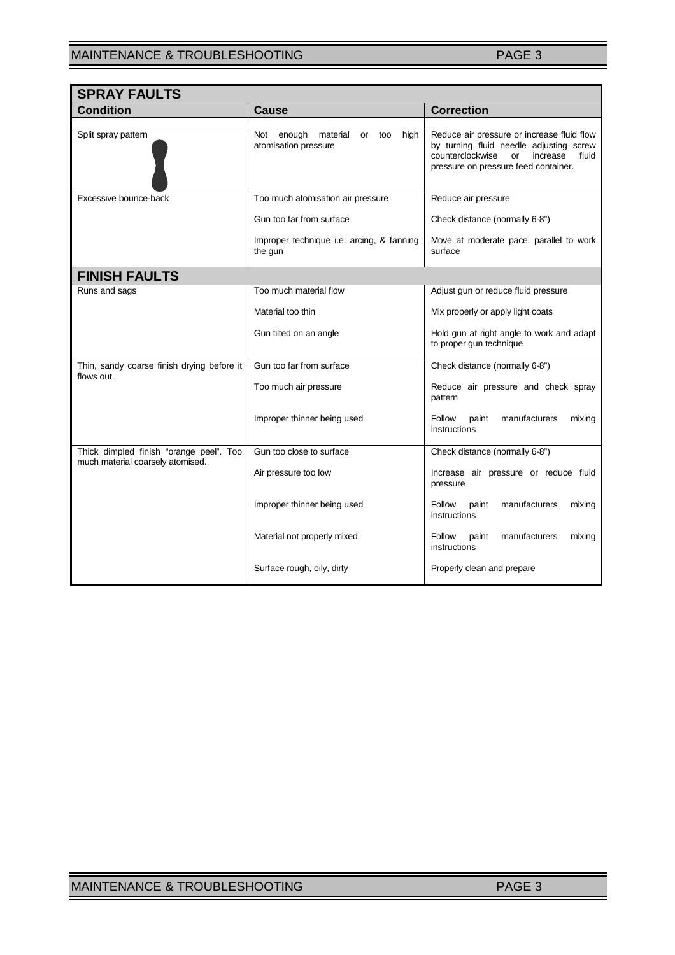| <b>SPRAY FAULTS</b>                                                         |                                                                     |                                                                                                                                                                              |  |
|-----------------------------------------------------------------------------|---------------------------------------------------------------------|------------------------------------------------------------------------------------------------------------------------------------------------------------------------------|--|
| <b>Condition</b>                                                            | <b>Cause</b>                                                        | <b>Correction</b>                                                                                                                                                            |  |
| Split spray pattern                                                         | Not enough<br>material<br>high<br>too<br>or<br>atomisation pressure | Reduce air pressure or increase fluid flow<br>by turning fluid needle adjusting screw<br>counterclockwise<br>increase<br>fluid<br>or<br>pressure on pressure feed container. |  |
| Excessive bounce-back                                                       | Too much atomisation air pressure                                   | Reduce air pressure                                                                                                                                                          |  |
|                                                                             | Gun too far from surface                                            | Check distance (normally 6-8")                                                                                                                                               |  |
|                                                                             | Improper technique i.e. arcing, & fanning<br>the gun                | Move at moderate pace, parallel to work<br>surface                                                                                                                           |  |
| <b>FINISH FAULTS</b>                                                        |                                                                     |                                                                                                                                                                              |  |
| Runs and sags                                                               | Too much material flow                                              | Adjust gun or reduce fluid pressure                                                                                                                                          |  |
|                                                                             | Material too thin                                                   | Mix properly or apply light coats                                                                                                                                            |  |
|                                                                             | Gun tilted on an angle                                              | Hold gun at right angle to work and adapt<br>to proper gun technique                                                                                                         |  |
| Thin, sandy coarse finish drying before it<br>flows out.                    | Gun too far from surface                                            | Check distance (normally 6-8")                                                                                                                                               |  |
|                                                                             | Too much air pressure                                               | Reduce air pressure and check spray<br>pattern                                                                                                                               |  |
|                                                                             | Improper thinner being used                                         | Follow<br>manufacturers<br>paint<br>mixing<br>instructions                                                                                                                   |  |
| Thick dimpled finish "orange peel". Too<br>much material coarsely atomised. | Gun too close to surface                                            | Check distance (normally 6-8")                                                                                                                                               |  |
|                                                                             | Air pressure too low                                                | Increase air pressure or reduce fluid<br>pressure                                                                                                                            |  |
|                                                                             | Improper thinner being used                                         | Follow<br>paint<br>manufacturers<br>mixing<br>instructions                                                                                                                   |  |
|                                                                             | Material not properly mixed                                         | Follow<br>manufacturers<br>paint<br>mixing<br>instructions                                                                                                                   |  |
|                                                                             | Surface rough, oily, dirty                                          | Properly clean and prepare                                                                                                                                                   |  |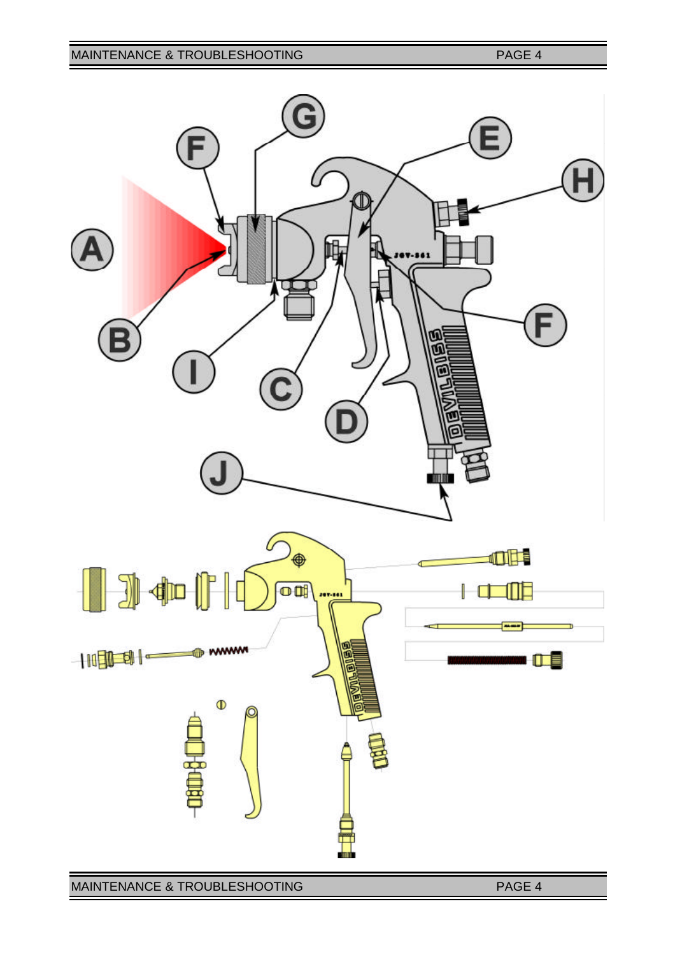### MAINTENANCE & TROUBLESHOOTING **ACCELED ACCEMBLE 4**

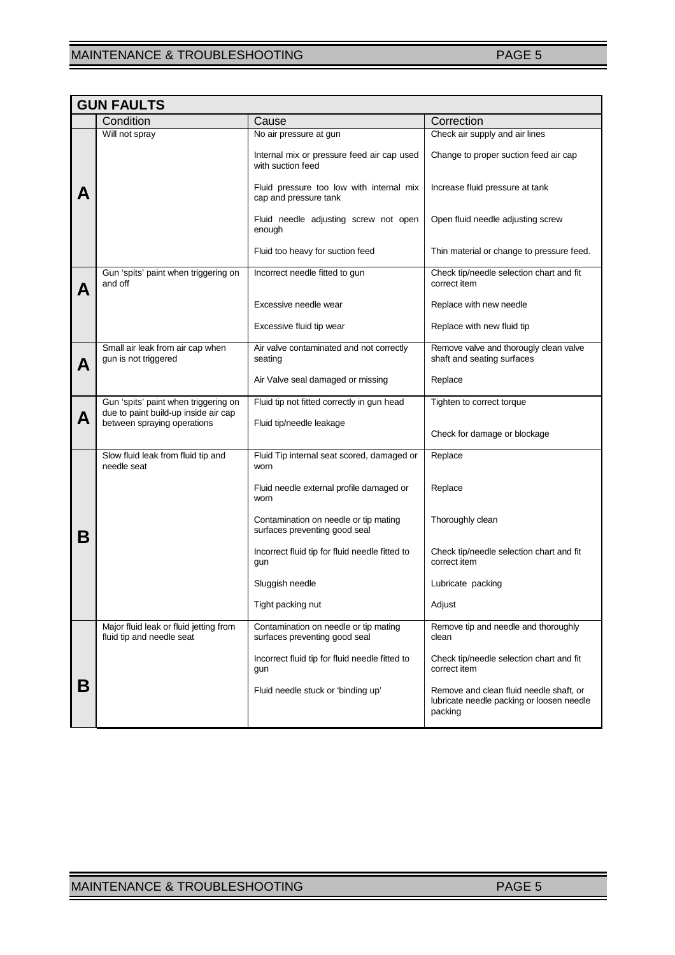| <b>GUN FAULTS</b> |                                                                     |                                                                        |                                                                                                 |
|-------------------|---------------------------------------------------------------------|------------------------------------------------------------------------|-------------------------------------------------------------------------------------------------|
|                   | Condition                                                           | Cause                                                                  | Correction                                                                                      |
|                   | Will not spray                                                      | No air pressure at gun                                                 | Check air supply and air lines                                                                  |
|                   |                                                                     | Internal mix or pressure feed air cap used<br>with suction feed        | Change to proper suction feed air cap                                                           |
| А                 |                                                                     | Fluid pressure too low with internal mix<br>cap and pressure tank      | Increase fluid pressure at tank                                                                 |
|                   |                                                                     | Fluid needle adjusting screw not open<br>enough                        | Open fluid needle adjusting screw                                                               |
|                   |                                                                     | Fluid too heavy for suction feed                                       | Thin material or change to pressure feed.                                                       |
| A                 | Gun 'spits' paint when triggering on<br>and off                     | Incorrect needle fitted to gun                                         | Check tip/needle selection chart and fit<br>correct item                                        |
|                   |                                                                     | Excessive needle wear                                                  | Replace with new needle                                                                         |
|                   |                                                                     | Excessive fluid tip wear                                               | Replace with new fluid tip                                                                      |
| A                 | Small air leak from air cap when<br>gun is not triggered            | Air valve contaminated and not correctly<br>seating                    | Remove valve and thorougly clean valve<br>shaft and seating surfaces                            |
|                   |                                                                     | Air Valve seal damaged or missing                                      | Replace                                                                                         |
|                   | Gun 'spits' paint when triggering on                                | Fluid tip not fitted correctly in gun head                             | Tighten to correct torque                                                                       |
| A                 | due to paint build-up inside air cap<br>between spraying operations | Fluid tip/needle leakage                                               | Check for damage or blockage                                                                    |
|                   | Slow fluid leak from fluid tip and<br>needle seat                   | Fluid Tip internal seat scored, damaged or<br>worn                     | Replace                                                                                         |
|                   |                                                                     | Fluid needle external profile damaged or<br>worn                       | Replace                                                                                         |
| Β                 |                                                                     | Contamination on needle or tip mating<br>surfaces preventing good seal | Thoroughly clean                                                                                |
|                   |                                                                     | Incorrect fluid tip for fluid needle fitted to<br>gun                  | Check tip/needle selection chart and fit<br>correct item                                        |
|                   |                                                                     | Sluggish needle                                                        | Lubricate packing                                                                               |
|                   |                                                                     | Tight packing nut                                                      | Adjust                                                                                          |
|                   | Major fluid leak or fluid jetting from<br>fluid tip and needle seat | Contamination on needle or tip mating<br>surfaces preventing good seal | Remove tip and needle and thoroughly<br>clean                                                   |
|                   |                                                                     | Incorrect fluid tip for fluid needle fitted to<br>gun                  | Check tip/needle selection chart and fit<br>correct item                                        |
| Β                 |                                                                     | Fluid needle stuck or 'binding up'                                     | Remove and clean fluid needle shaft, or<br>lubricate needle packing or loosen needle<br>packing |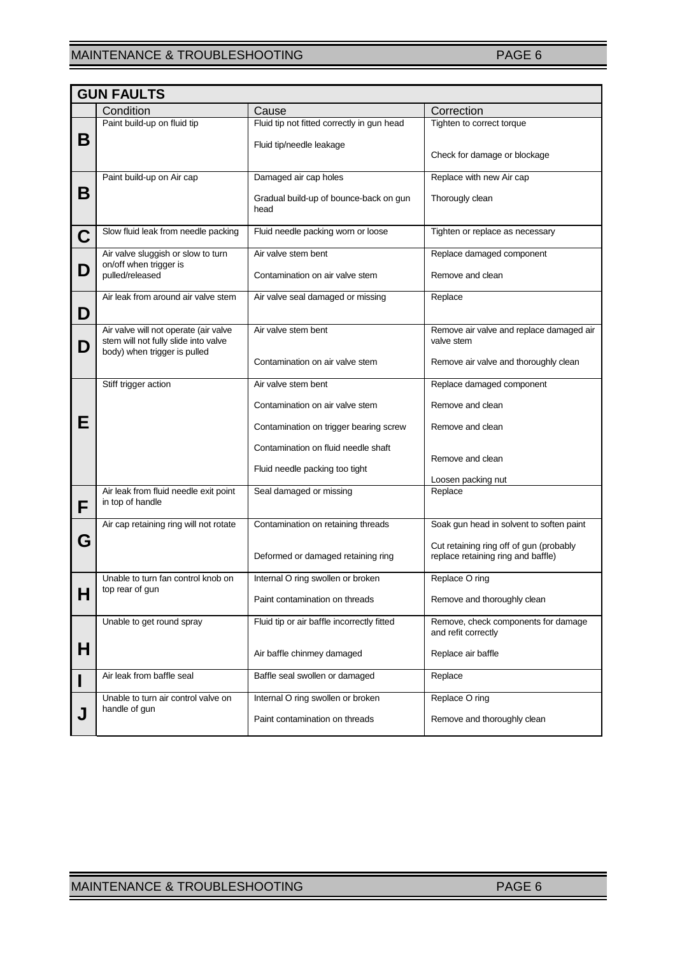### MAINTENANCE & TROUBLESHOOTING **ACCEPT AND THE SERVICE OF A PAGE 6**

| <b>GUN FAULTS</b> |                                                                                                               |                                                |                                                                               |
|-------------------|---------------------------------------------------------------------------------------------------------------|------------------------------------------------|-------------------------------------------------------------------------------|
|                   | Condition                                                                                                     | Cause                                          | Correction                                                                    |
|                   | Paint build-up on fluid tip                                                                                   | Fluid tip not fitted correctly in gun head     | Tighten to correct torque                                                     |
| Β                 |                                                                                                               | Fluid tip/needle leakage                       | Check for damage or blockage                                                  |
|                   | Paint build-up on Air cap                                                                                     | Damaged air cap holes                          | Replace with new Air cap                                                      |
| Β                 |                                                                                                               | Gradual build-up of bounce-back on gun<br>head | Thorougly clean                                                               |
| C                 | Slow fluid leak from needle packing                                                                           | Fluid needle packing worn or loose             | Tighten or replace as necessary                                               |
|                   | Air valve sluggish or slow to turn                                                                            | Air valve stem bent                            | Replace damaged component                                                     |
| D                 | on/off when trigger is<br>pulled/released                                                                     | Contamination on air valve stem                | Remove and clean                                                              |
| D                 | Air leak from around air valve stem                                                                           | Air valve seal damaged or missing              | Replace                                                                       |
| D                 | Air valve will not operate (air valve<br>stem will not fully slide into valve<br>body) when trigger is pulled | Air valve stem bent                            | Remove air valve and replace damaged air<br>valve stem                        |
|                   |                                                                                                               | Contamination on air valve stem                | Remove air valve and thoroughly clean                                         |
|                   | Stiff trigger action                                                                                          | Air valve stem bent                            | Replace damaged component                                                     |
|                   |                                                                                                               | Contamination on air valve stem                | Remove and clean                                                              |
| Е                 |                                                                                                               | Contamination on trigger bearing screw         | Remove and clean                                                              |
|                   |                                                                                                               | Contamination on fluid needle shaft            | Remove and clean                                                              |
|                   |                                                                                                               | Fluid needle packing too tight                 | Loosen packing nut                                                            |
|                   | Air leak from fluid needle exit point                                                                         | Seal damaged or missing                        | Replace                                                                       |
| F                 | in top of handle                                                                                              |                                                |                                                                               |
|                   | Air cap retaining ring will not rotate                                                                        | Contamination on retaining threads             | Soak gun head in solvent to soften paint                                      |
| G                 |                                                                                                               | Deformed or damaged retaining ring             | Cut retaining ring off of gun (probably<br>replace retaining ring and baffle) |
|                   | Unable to turn fan control knob on                                                                            | Internal O ring swollen or broken              | Replace O ring                                                                |
| п                 | top rear of gun                                                                                               | Paint contamination on threads                 | Remove and thoroughly clean                                                   |
|                   | Unable to get round spray                                                                                     | Fluid tip or air baffle incorrectly fitted     | Remove, check components for damage<br>and refit correctly                    |
| H                 |                                                                                                               | Air baffle chinmey damaged                     | Replace air baffle                                                            |
| ı                 | Air leak from baffle seal                                                                                     | Baffle seal swollen or damaged                 | Replace                                                                       |
|                   | Unable to turn air control valve on                                                                           | Internal O ring swollen or broken              | Replace O ring                                                                |
|                   | handle of gun                                                                                                 | Paint contamination on threads                 | Remove and thoroughly clean                                                   |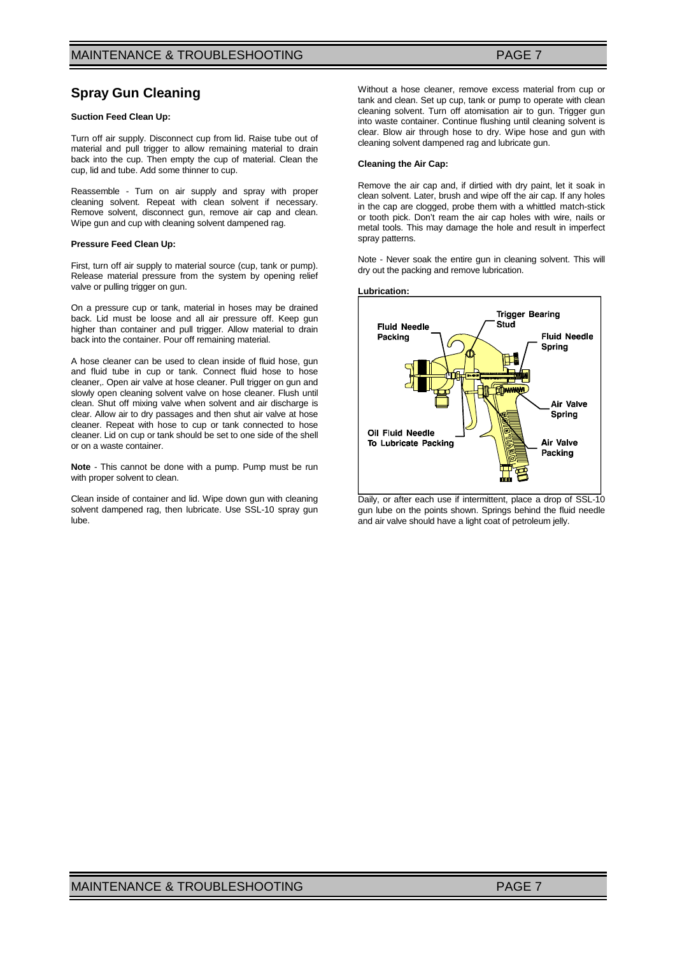### **Spray Gun Cleaning**

#### **Suction Feed Clean Up:**

Turn off air supply. Disconnect cup from lid. Raise tube out of material and pull trigger to allow remaining material to drain back into the cup. Then empty the cup of material. Clean the cup, lid and tube. Add some thinner to cup.

Reassemble - Turn on air supply and spray with proper cleaning solvent. Repeat with clean solvent if necessary. Remove solvent, disconnect gun, remove air cap and clean. Wipe gun and cup with cleaning solvent dampened rag.

#### **Pressure Feed Clean Up:**

First, turn off air supply to material source (cup, tank or pump). Release material pressure from the system by opening relief valve or pulling trigger on gun.

On a pressure cup or tank, material in hoses may be drained back. Lid must be loose and all air pressure off. Keep gun higher than container and pull trigger. Allow material to drain back into the container. Pour off remaining material.

A hose cleaner can be used to clean inside of fluid hose, gun and fluid tube in cup or tank. Connect fluid hose to hose cleaner,. Open air valve at hose cleaner. Pull trigger on gun and slowly open cleaning solvent valve on hose cleaner. Flush until clean. Shut off mixing valve when solvent and air discharge is clear. Allow air to dry passages and then shut air valve at hose cleaner. Repeat with hose to cup or tank connected to hose cleaner. Lid on cup or tank should be set to one side of the shell or on a waste container.

**Note** - This cannot be done with a pump. Pump must be run with proper solvent to clean.

Clean inside of container and lid. Wipe down gun with cleaning solvent dampened rag, then lubricate. Use SSL-10 spray gun lube.

Without a hose cleaner, remove excess material from cup or tank and clean. Set up cup, tank or pump to operate with clean cleaning solvent. Turn off atomisation air to gun. Trigger gun into waste container. Continue flushing until cleaning solvent is clear. Blow air through hose to dry. Wipe hose and gun with cleaning solvent dampened rag and lubricate gun.

#### **Cleaning the Air Cap:**

Remove the air cap and, if dirtied with dry paint, let it soak in clean solvent. Later, brush and wipe off the air cap. If any holes in the cap are clogged, probe them with a whittled match-stick or tooth pick. Don't ream the air cap holes with wire, nails or metal tools. This may damage the hole and result in imperfect spray patterns.

Note - Never soak the entire gun in cleaning solvent. This will dry out the packing and remove lubrication.

**Lubrication:**



Daily, or after each use if intermittent, place a drop of SSL-10 gun lube on the points shown. Springs behind the fluid needle and air valve should have a light coat of petroleum jelly.